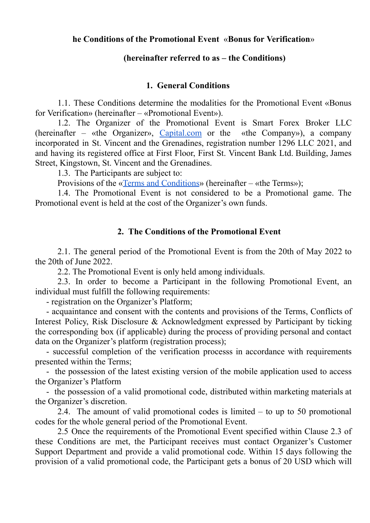## **he Conditions of the Promotional Event** «**Bonus for Verification**»

## **(hereinafter referred to as – the Conditions)**

## **1. General Conditions**

1.1. These Conditions determine the modalities for the Promotional Event «Bonus for Verification» (hereinafter – «Promotional Event»).

1.2. The Organizer of the Promotional Event is Smart Forex Broker LLC (hereinafter – «the Organizer», [Capital.com](http://capital.com) or the «the Company»), a company incorporated in St. Vincent and the Grenadines, registration number 1296 LLC 2021, and апd having its registered office at First Floor, First St. Vincent Ваnk Ltd. Building, James Street, Kingstown, St. Vincent and the Grenadines.

1.3. The Participants are subject to:

Provisions of the «Terms and [Conditions](https://img.capital.com/docs/terms_and_conditions_stvincent_capitalcom.pdf)» (hereinafter – «the Terms»);

1.4. The Promotional Event is not considered to be a Promotional game. The Promotional event is held at the cost of the Organizer's own funds.

## **2. The Conditions of the Promotional Event**

2.1. The general period of the Promotional Event is from the 20th of May 2022 to the 20th of June 2022.

2.2. The Promotional Event is only held among individuals.

2.3. In order to become a Participant in the following Promotional Event, an individual must fulfill the following requirements:

- registration on the Organizer's Platform;

- acquaintance and consent with the contents and provisions of the Terms, Conflicts of Interest Policy, Risk Disclosure & Acknowledgment expressed by Participant by ticking the corresponding box (if applicable) during the process of providing personal and contact data on the Organizer's platform (registration process);

- successful completion of the verification processs in accordance with requirements presented within the Terms;

- the possession of the latest existing version of the mobile application used to access the Organizer's Platform

- the possession of a valid promotional code, distributed within marketing materials at the Organizer's discretion.

2.4. The amount of valid promotional codes is limited – to up to 50 promotional codes for the whole general period of the Promotional Event.

2.5 Once the requirements of the Promotional Event specified within Clause 2.3 of these Conditions are met, the Participant receives must contact Organizer's Customer Support Department and provide a valid promotional code. Within 15 days following the provision of a valid promotional code, the Participant gets a bonus of 20 USD which will